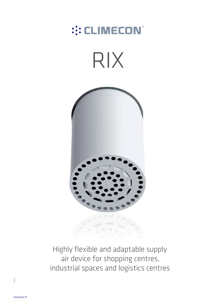# :: CLIMECON®





Highly flexible and adaptable supply air device for shopping centres, industrial spaces and logistics centres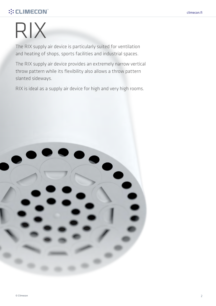# **::: CLIMECON®**

# RIX

The RIX supply air device is particularly suited for ventilation and heating of shops, sports facilities and industrial spaces.

The RIX supply air device provides an extremely narrow vertical throw pattern while its flexibility also allows a throw pattern slanted sideways.

RIX is ideal as a supply air device for high and very high rooms.

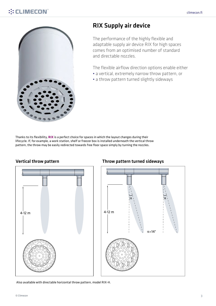

RIX Supply air device

The performance of the highly flexible and adaptable supply air device RIX for high spaces comes from an optimised number of standard and directable nozzles.

The flexible airflow direction options enable either

- a vertical, extremely narrow throw pattern, or
- a throw pattern turned slightly sideways

Thanks to its flexibility, **RIX** is a perfect choice for spaces in which the layout changes during their lifecycle. If, for example, a work station, shelf or freezer box is installed underneath the vertical throw pattern, the throw may be easily redirected towards free floor space simply by turning the nozzles.



# Vertical throw pattern **Throw pattern** Throw pattern turned sideways



Also available with directable horizontal throw pattern, model RIX-H.